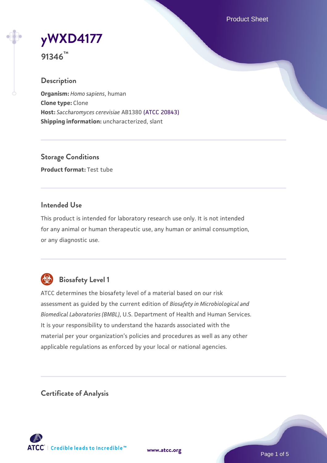Product Sheet

**[yWXD4177](https://www.atcc.org/products/91346)**

**91346™**

# **Description**

**Organism:** *Homo sapiens*, human **Clone type:** Clone **Host:** *Saccharomyces cerevisiae* AB1380 [\(ATCC 20843\)](https://www.atcc.org/products/20843) **Shipping information:** uncharacterized, slant

**Storage Conditions Product format:** Test tube

## **Intended Use**

This product is intended for laboratory research use only. It is not intended for any animal or human therapeutic use, any human or animal consumption, or any diagnostic use.



# **Biosafety Level 1**

ATCC determines the biosafety level of a material based on our risk assessment as guided by the current edition of *Biosafety in Microbiological and Biomedical Laboratories (BMBL)*, U.S. Department of Health and Human Services. It is your responsibility to understand the hazards associated with the material per your organization's policies and procedures as well as any other applicable regulations as enforced by your local or national agencies.

**Certificate of Analysis**

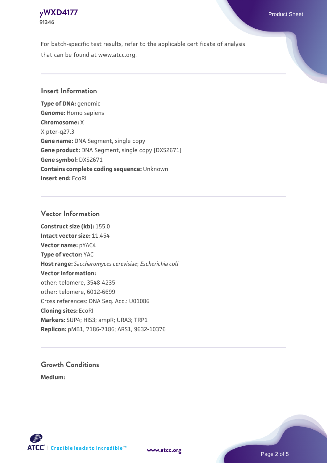

For batch-specific test results, refer to the applicable certificate of analysis that can be found at www.atcc.org.

## **Insert Information**

**Type of DNA:** genomic **Genome:** Homo sapiens **Chromosome:** X X pter-q27.3 **Gene name:** DNA Segment, single copy **Gene product:** DNA Segment, single copy [DXS2671] **Gene symbol:** DXS2671 **Contains complete coding sequence:** Unknown **Insert end:** EcoRI

#### **Vector Information**

**Construct size (kb):** 155.0 **Intact vector size:** 11.454 **Vector name:** pYAC4 **Type of vector:** YAC **Host range:** *Saccharomyces cerevisiae*; *Escherichia coli* **Vector information:** other: telomere, 3548-4235 other: telomere, 6012-6699 Cross references: DNA Seq. Acc.: U01086 **Cloning sites:** EcoRI **Markers:** SUP4; HIS3; ampR; URA3; TRP1 **Replicon:** pMB1, 7186-7186; ARS1, 9632-10376

# **Growth Conditions**

**Medium:** 





Page 2 of 5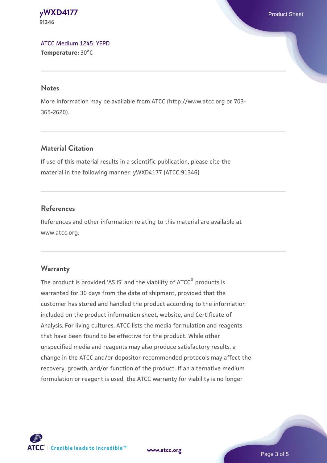**[yWXD4177](https://www.atcc.org/products/91346)** Product Sheet **91346**

[ATCC Medium 1245: YEPD](https://www.atcc.org/-/media/product-assets/documents/microbial-media-formulations/1/2/4/5/atcc-medium-1245.pdf?rev=705ca55d1b6f490a808a965d5c072196) **Temperature:** 30°C

#### **Notes**

More information may be available from ATCC (http://www.atcc.org or 703- 365-2620).

# **Material Citation**

If use of this material results in a scientific publication, please cite the material in the following manner: yWXD4177 (ATCC 91346)

## **References**

References and other information relating to this material are available at www.atcc.org.

#### **Warranty**

The product is provided 'AS IS' and the viability of ATCC® products is warranted for 30 days from the date of shipment, provided that the customer has stored and handled the product according to the information included on the product information sheet, website, and Certificate of Analysis. For living cultures, ATCC lists the media formulation and reagents that have been found to be effective for the product. While other unspecified media and reagents may also produce satisfactory results, a change in the ATCC and/or depositor-recommended protocols may affect the recovery, growth, and/or function of the product. If an alternative medium formulation or reagent is used, the ATCC warranty for viability is no longer



**[www.atcc.org](http://www.atcc.org)**

Page 3 of 5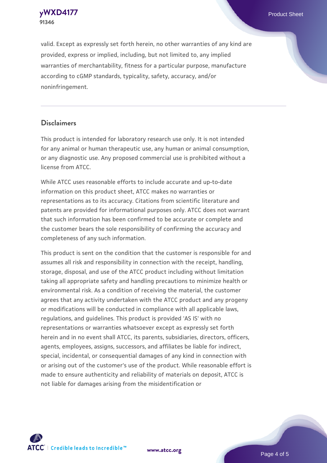**91346**

valid. Except as expressly set forth herein, no other warranties of any kind are provided, express or implied, including, but not limited to, any implied warranties of merchantability, fitness for a particular purpose, manufacture according to cGMP standards, typicality, safety, accuracy, and/or noninfringement.

#### **Disclaimers**

This product is intended for laboratory research use only. It is not intended for any animal or human therapeutic use, any human or animal consumption, or any diagnostic use. Any proposed commercial use is prohibited without a license from ATCC.

While ATCC uses reasonable efforts to include accurate and up-to-date information on this product sheet, ATCC makes no warranties or representations as to its accuracy. Citations from scientific literature and patents are provided for informational purposes only. ATCC does not warrant that such information has been confirmed to be accurate or complete and the customer bears the sole responsibility of confirming the accuracy and completeness of any such information.

This product is sent on the condition that the customer is responsible for and assumes all risk and responsibility in connection with the receipt, handling, storage, disposal, and use of the ATCC product including without limitation taking all appropriate safety and handling precautions to minimize health or environmental risk. As a condition of receiving the material, the customer agrees that any activity undertaken with the ATCC product and any progeny or modifications will be conducted in compliance with all applicable laws, regulations, and guidelines. This product is provided 'AS IS' with no representations or warranties whatsoever except as expressly set forth herein and in no event shall ATCC, its parents, subsidiaries, directors, officers, agents, employees, assigns, successors, and affiliates be liable for indirect, special, incidental, or consequential damages of any kind in connection with or arising out of the customer's use of the product. While reasonable effort is made to ensure authenticity and reliability of materials on deposit, ATCC is not liable for damages arising from the misidentification or



**[www.atcc.org](http://www.atcc.org)**

Page 4 of 5